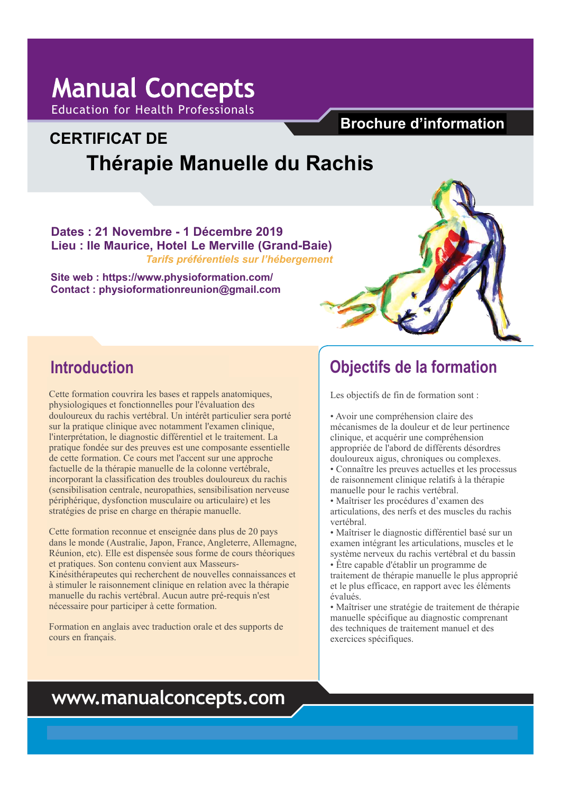## **Manual Concepts** Education for Health Professionals

# **CERTIFICATE IN CERTIFICAT DE Spinal Manual Therapy Thérapie Manuelle du Rachis Information brochure Brochure d'information**

**Dates : 21 Novembre - 1 Décembre 2019** Lieu : Ile Maurice, Hotel Le Merville (Grand-Baie) *Tarifs préférentiels sur l'hébergement* 

**\$POUBDU Contact : physioformationreunion@gmail.com Site web : https://www.physioformation.com/** 



## **Introduction**

Cette formation couvrira les bases et rappels anatomiques, physiologiques et fonctionnelles pour l'évaluation des douloureux du rachis vertébral. Un intérêt particulier sera porté sur la pratique clinique avec notamment l'examen clinique, l'interprétation, le diagnostic différentiel et le traitement. La pratique fondée sur des preuves est une composante essentielle de cette formation. Ce cours met l'accent sur une approche factuelle de la thérapie manuelle de la colonne vertébrale, incorporant la classification des troubles douloureux du rachis (sensibilisation centrale, neuropathies, sensibilisation nerveuse stratégies de prise en charge en thérapie manuelle. for the clinician or academic who is interested in  $\mathcal{C}$ périphérique, dysfonction musculaire ou articulaire) et les

Cette formation reconnue et enseignée dans plus de 20 pays dans le monde (Australie, Japon, France, Angleterre, Allemagne, Réunion, etc). Elle est dispensée sous forme de cours théoriques et pratiques. Son contenu convient aux Masseurs-Kinésithérapeutes qui recherchent de nouvelles connaissances et à stimuler le raisonnement clinique en relation avec la thérapie manuelle du rachis vertébral. Aucun autre pré-requis n'est nécessaire pour participer à cette formation.

Formation en anglais avec traduction orale et des supports de cours en français.

## **Course objectifs de la formation**<br> **Course of the Course of the Course of the Course of the Course of the Course of the Course of the Course of the Course of the Course of the Course of the Course of the Course of the Cou**

Les objectifs de fin de formation sont :

- $\mathbf{e}^{\mathbf{e}}$ • Avoir une compréhension claire des mécanismes de la douleur et de leur pertinence eninque, et acquern ane comprenension<br>appropriée de l'abord de différents désordres douloureux aigus, chroniques ou complexes. clinique, et acquérir une compréhension
- Connaître les preuves actuelles et les processus de raisonnement clinique relatifs à la thérapie manuelle pour le rachis vertébral.
- Maîtriser les procédures d'examen des articulations, des nerfs et des muscles du rachis vertébral.
- Maîtriser le diagnostic différentiel basé sur un examen intégrant les articulations, muscles et le système nerveux du rachis vertébral et du bassin
- Être capable d'établir un programme de  $\frac{1}{2}$  or  $\frac{1}{2}$  or  $\frac{1}{2}$  or the application of the theory of the theory of the theory of the theory of the theory of the theory of the theory of the theory of the theory of the theory of the theory of the theor et le plus efficace, en rapport avec les éléments traitement de thérapie manuelle le plus approprié évalués.
- Maîtriser une stratégie de traitement de thérapie manuelle spécifique au diagnostic comprenant des techniques de traitement manuel et des exercices spécifiques.

## **www.manualconcepts.com**